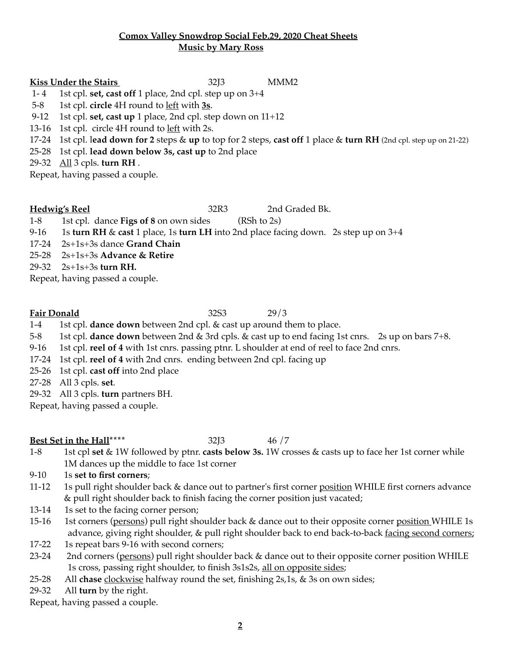### **Comox Valley Snowdrop Social Feb.29, 2020 Cheat Sheets Music by Mary Ross**

**Kiss Under the Stairs** 32J3 MMM2

- 1- 4 1st cpl. **set, cast off** 1 place, 2nd cpl. step up on 3+4
- 5-8 1st cpl. **circle** 4H round to left with **3s**.
- 9-12 1st cpl. **set, cast up** 1 place, 2nd cpl. step down on 11+12
- 13-16 1st cpl. circle 4H round to left with 2s.
- 17-24 1st cpl. l**ead down for 2** steps & **up** to top for 2 steps, **cast off** 1 place & **turn RH** (2nd cpl. step up on 21-22)
- 25-28 1st cpl. **lead down below 3s, cast up** to 2nd place
- 29-32 All 3 cpls. **turn RH** .

Repeat, having passed a couple.

**Hedwig's Reel** 32R3 2nd Graded Bk.

1-8 1st cpl. dance **Figs of 8** on own sides (RSh to 2s)

- 9-16 1s **turn RH** & **cast** 1 place, 1s **turn LH** into 2nd place facing down. 2s step up on 3+4
- 17-24 2s+1s+3s dance **Grand Chain**
- 25-28 2s+1s+3s **Advance & Retire**
- 29-32 2s+1s+3s **turn RH.**

Repeat, having passed a couple.

### **Fair Donald** 32S3 29/3

1-4 1st cpl. **dance down** between 2nd cpl. & cast up around them to place.

5-8 1st cpl. **dance down** between 2nd & 3rd cpls. & cast up to end facing 1st cnrs. 2s up on bars 7+8.

- 9-16 1st cpl. **reel of 4** with 1st cnrs. passing ptnr. L shoulder at end of reel to face 2nd cnrs.
- 17-24 1st cpl. **reel of 4** with 2nd cnrs. ending between 2nd cpl. facing up
- 25-26 1st cpl. **cast off** into 2nd place
- 27-28 All 3 cpls. **set**.
- 29-32 All 3 cpls. **turn** partners BH.
- Repeat, having passed a couple.

## **Best Set in the Hall\*\*\*\*** 32J3 46 /7

- 1-8 1st cpl **set** & 1W followed by ptnr. **casts below 3s.** 1W crosses & casts up to face her 1st corner while 1M dances up the middle to face 1st corner
- 9-10 1s **set to first corners**;
- 11-12 1s pull right shoulder back & dance out to partner's first corner position WHILE first corners advance & pull right shoulder back to finish facing the corner position just vacated;
- 13-14 1s set to the facing corner person;
- 15-16 1st corners (persons) pull right shoulder back & dance out to their opposite corner position WHILE 1s advance, giving right shoulder, & pull right shoulder back to end back-to-back facing second corners;
- 17-22 1s repeat bars 9-16 with second corners;
- 23-24 2nd corners (persons) pull right shoulder back & dance out to their opposite corner position WHILE 1s cross, passing right shoulder, to finish 3s1s2s, all on opposite sides;
- 25-28 All **chase** clockwise halfway round the set, finishing 2s,1s, & 3s on own sides;
- 29-32 All **turn** by the right.

Repeat, having passed a couple.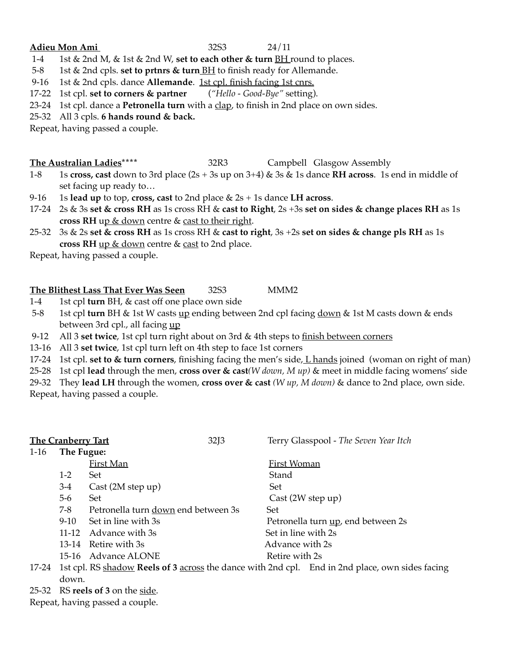#### **Adieu Mon Ami** 32S3 24/11

- 1-4 1st & 2nd M, & 1st & 2nd W, **set to each other & turn** BH round to places.
- 5-8 1st & 2nd cpls. **set to prtnrs & turn** BH to finish ready for Allemande.

9-16 1st & 2nd cpls. dance **Allemande**. 1st cpl. finish facing 1st cnrs.

- 17-22 1st cpl. **set to corners & partner** (*"Hello Good-Bye"* setting).
- 23-24 1st cpl. dance a **Petronella turn** with a clap, to finish in 2nd place on own sides.
- 25-32 All 3 cpls. **6 hands round & back.**

Repeat, having passed a couple.

#### **The Australian Ladies\*\*\*\*** 32R3 Campbell Glasgow Assembly

- 1-8 1s **cross, cast** down to 3rd place (2s + 3s up on 3+4) & 3s & 1s dance **RH across**. 1s end in middle of set facing up ready to…
- 9-16 1s **lead up** to top, **cross, cast** to 2nd place & 2s + 1s dance **LH across**.
- 17-24 2s & 3s **set & cross RH** as 1s cross RH & **cast to Right**, 2s +3s **set on sides & change places RH** as 1s **cross RH** up & down centre & cast to their right.
- 25-32 3s & 2s **set & cross RH** as 1s cross RH & **cast to right**, 3s +2s **set on sides & change pls RH** as 1s **cross RH** up & down centre & cast to 2nd place.

Repeat, having passed a couple.

#### **The Blithest Lass That Ever Was Seen** 32S3 MMM2

- 1-4 1st cpl **turn** BH, & cast off one place own side
- 5-8 1st cpl **turn** BH & 1st W casts up ending between 2nd cpl facing down & 1st M casts down & ends between 3rd cpl., all facing up
- 9-12 All 3 **set twice**, 1st cpl turn right about on 3rd & 4th steps to finish between corners
- 13-16 All 3 **set twice**, 1st cpl turn left on 4th step to face 1st corners

17-24 1st cpl. **set to & turn corners**, finishing facing the men's side, L hands joined (woman on right of man)

25-28 1st cpl **lead** through the men, **cross over & cast***(W down, M up)* & meet in middle facing womens' side

29-32 They **lead LH** through the women, **cross over & cast** *(W up, M down)* & dance to 2nd place, own side. Repeat, having passed a couple.

| <b>The Cranberry Tart</b> |                                                                                                 |                                     | 32J3 | Terry Glasspool - The Seven Year Itch |                                    |
|---------------------------|-------------------------------------------------------------------------------------------------|-------------------------------------|------|---------------------------------------|------------------------------------|
| $1-16$                    | The Fugue:                                                                                      |                                     |      |                                       |                                    |
|                           |                                                                                                 | <b>First Man</b>                    |      | First Woman                           |                                    |
|                           | $1-2$                                                                                           | Set                                 |      | Stand                                 |                                    |
|                           | $3-4$                                                                                           | Cast (2M step up)                   |      | Set                                   |                                    |
|                           | $5-6$                                                                                           | <b>Set</b>                          |      | Cast(2W step up)                      |                                    |
|                           | $7 - 8$                                                                                         | Petronella turn down end between 3s |      | Set                                   |                                    |
|                           | $9-10$                                                                                          | Set in line with 3s                 |      |                                       | Petronella turn up, end between 2s |
|                           |                                                                                                 | 11-12 Advance with 3s               |      | Set in line with 2s                   |                                    |
|                           |                                                                                                 | 13-14 Retire with 3s                |      | Advance with 2s                       |                                    |
|                           |                                                                                                 | 15-16 Advance ALONE                 |      | Retire with 2s                        |                                    |
| 17-24                     | 1st cpl. RS shadow Reels of 3 across the dance with 2nd cpl. End in 2nd place, own sides facing |                                     |      |                                       |                                    |
|                           | down.                                                                                           |                                     |      |                                       |                                    |

25-32 RS **reels of 3** on the side.

Repeat, having passed a couple.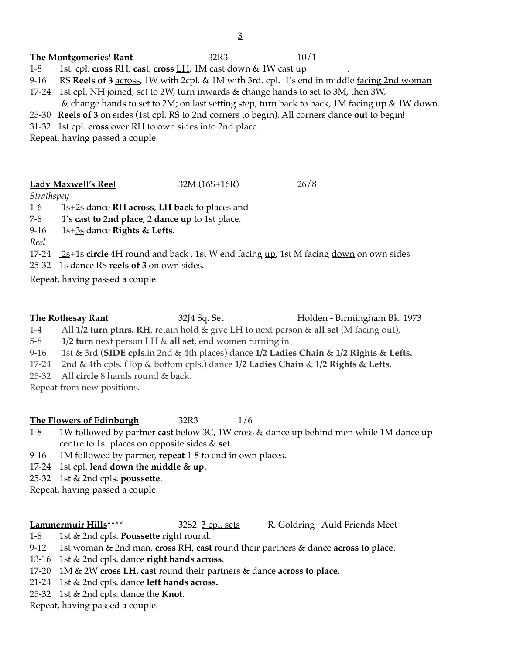# The Montgomeries' Rant 32R3 10/1

- 1-8 1st. cpl. **cross** RH, **cast**, **cross** LH, 1M cast down & 1W cast up .
- 9-16 RS **Reels of 3** across, 1W with 2cpl. & 1M with 3rd. cpl. 1's end in middle facing 2nd woman
- 17-24 1st cpl. NH joined, set to 2W, turn inwards & change hands to set to 3M, then 3W, & change hands to set to 2M; on last setting step, turn back to back, 1M facing up & 1W down.
- 25-30 **Reels of 3** on sides (1st cpl. RS to 2nd corners to begin). All corners dance **out** to begin!
- 31-32 1st cpl. **cross** over RH to own sides into 2nd place.

Repeat, having passed a couple.

#### **Lady Maxwell's Reel** 32M (16S+16R) 26/8

#### *Strathspey*

1-6 1s+2s dance **RH across**, **LH back** to places and

7-8 1's **cast to 2nd place,** 2 **dance up** to 1st place.

- 9-16 1s+3s dance **Rights & Lefts**.
- *Reel*

17-24 2s<sup>+1</sup>s **circle** 4H round and back, 1st W end facing up, 1st M facing down on own sides

25-32 1s dance RS **reels of 3** on own sides.

Repeat, having passed a couple.

**The Rothesay Rant** 32J4 Sq. Set Holden - Birmingham Bk. 1973

1-4 All **1/2 turn ptnrs. RH**, retain hold & give LH to next person & **all set** (M facing out),

5-8 **1/2 turn** next person LH & **all set,** end women turning in

9-16 1st & 3rd (**SIDE cpls**.in 2nd & 4th places) dance **1/2 Ladies Chain** & **1/2 Rights & Lefts.** 

17-24 2nd & 4th cpls. (Top & bottom cpls.) dance **1/2 Ladies Chain** & **1/2 Rights & Lefts.** 

25-32 All **circle** 8 hands round & back.

Repeat from new positions.

### **The Flowers of Edinburgh** 32R3 1/6

- 1-8 1W followed by partner **cast** below 3C, 1W cross & dance up behind men while 1M dance up centre to 1st places on opposite sides & **set**.
- 9-16 1M followed by partner, **repeat** 1-8 to end in own places.
- 17-24 1st cpl. **lead down the middle & up.**
- 25-32 1st & 2nd cpls. **poussette**.

Repeat, having passed a couple.

**Lammermuir Hills**\*\*\*\* 32S2 3 cpl. sets R. Goldring Auld Friends Meet

1-8 1st & 2nd cpls. **Poussette** right round.

9-12 1st woman & 2nd man, **cross** RH, **cast** round their partners & dance **across to place**.

13-16 1st & 2nd cpls. dance **right hands across**.

- 17-20 1M & 2W **cross LH, cast** round their partners & dance **across to place**.
- 21-24 1st & 2nd cpls. dance **left hands across.**
- 25-32 1st & 2nd cpls. dance the **Knot**.

Repeat, having passed a couple.